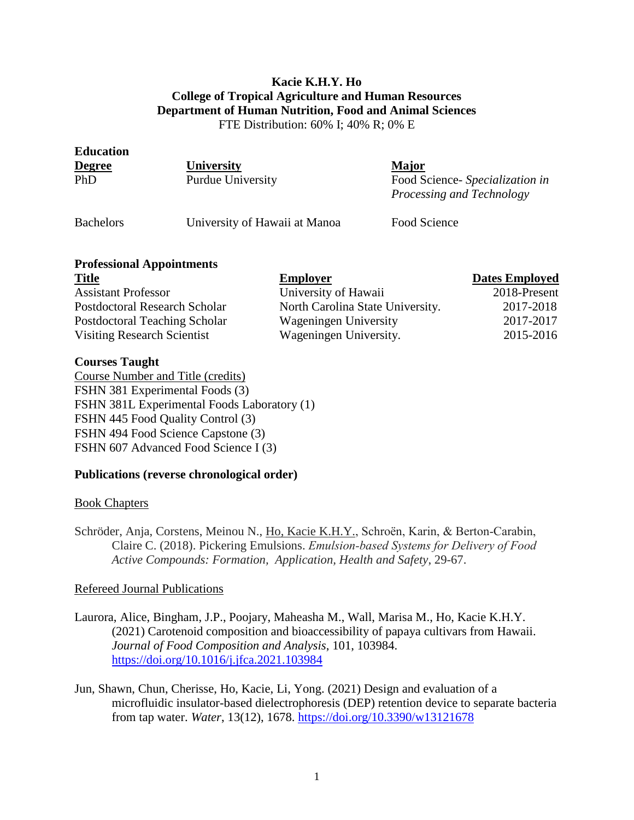## **Kacie K.H.Y. Ho College of Tropical Agriculture and Human Resources Department of Human Nutrition, Food and Animal Sciences** FTE Distribution: 60% I; 40% R; 0% E

| <b>Education</b><br><b>Degree</b> | <b>University</b>             | Major                                                        |
|-----------------------------------|-------------------------------|--------------------------------------------------------------|
| PhD                               | <b>Purdue University</b>      | Food Science- Specialization in<br>Processing and Technology |
| <b>Bachelors</b>                  | University of Hawaii at Manoa | Food Science                                                 |

## **Professional Appointments**

| <b>Title</b>                         | <b>Employer</b>                  | <b>Dates Employed</b> |
|--------------------------------------|----------------------------------|-----------------------|
| <b>Assistant Professor</b>           | University of Hawaii             | 2018-Present          |
| <b>Postdoctoral Research Scholar</b> | North Carolina State University. | 2017-2018             |
| Postdoctoral Teaching Scholar        | Wageningen University            | 2017-2017             |
| <b>Visiting Research Scientist</b>   | Wageningen University.           | 2015-2016             |

## **Courses Taught**

Course Number and Title (credits) FSHN 381 Experimental Foods (3) FSHN 381L Experimental Foods Laboratory (1) FSHN 445 Food Quality Control (3) FSHN 494 Food Science Capstone (3) FSHN 607 Advanced Food Science I (3)

# **Publications (reverse chronological order)**

## Book Chapters

Schröder, Anja, Corstens, Meinou N., Ho, Kacie K.H.Y., Schroën, Karin, & Berton‐Carabin, Claire C. (2018). Pickering Emulsions. *Emulsion‐based Systems for Delivery of Food Active Compounds: Formation, Application, Health and Safety*, 29-67.

# Refereed Journal Publications

- Laurora, Alice, Bingham, J.P., Poojary, Maheasha M., Wall, Marisa M., Ho, Kacie K.H.Y. (2021) Carotenoid composition and bioaccessibility of papaya cultivars from Hawaii. *Journal of Food Composition and Analysis*, 101, 103984. <https://doi.org/10.1016/j.jfca.2021.103984>
- Jun, Shawn, Chun, Cherisse, Ho, Kacie, Li, Yong. (2021) Design and evaluation of a microfluidic insulator-based dielectrophoresis (DEP) retention device to separate bacteria from tap water. *Water*, 13(12), 1678.<https://doi.org/10.3390/w13121678>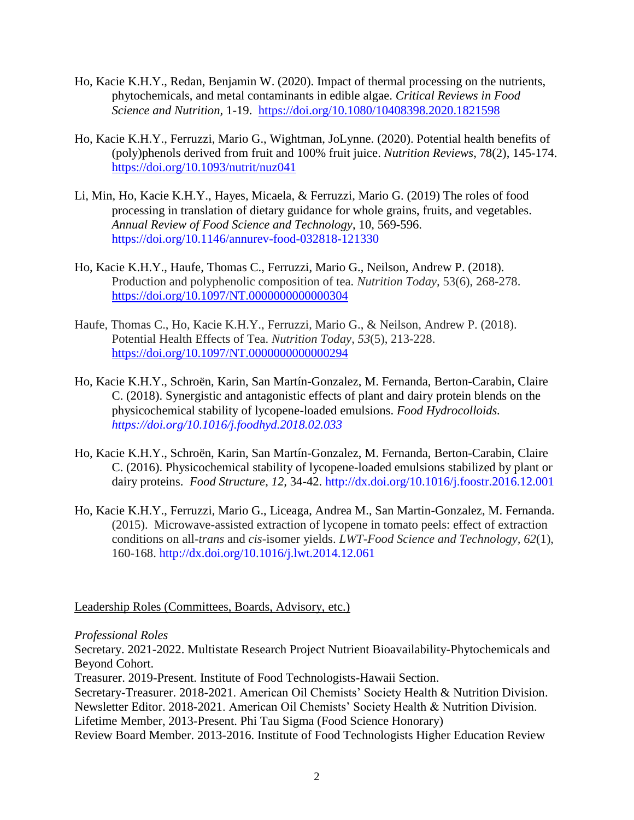- Ho, Kacie K.H.Y., Redan, Benjamin W. (2020). Impact of thermal processing on the nutrients, phytochemicals, and metal contaminants in edible algae. *Critical Reviews in Food Science and Nutrition,* 1-19. <https://doi.org/10.1080/10408398.2020.1821598>
- Ho, Kacie K.H.Y., Ferruzzi, Mario G., Wightman, JoLynne. (2020). Potential health benefits of (poly)phenols derived from fruit and 100% fruit juice. *Nutrition Reviews*, 78(2), 145-174. <https://doi.org/10.1093/nutrit/nuz041>
- Li, Min, Ho, Kacie K.H.Y., Hayes, Micaela, & Ferruzzi, Mario G. (2019) The roles of food processing in translation of dietary guidance for whole grains, fruits, and vegetables. *Annual Review of Food Science and Technology*, 10, 569-596. <https://doi.org/10.1146/annurev-food-032818-121330>
- Ho, Kacie K.H.Y., Haufe, Thomas C., Ferruzzi, Mario G., Neilson, Andrew P. (2018). Production and polyphenolic composition of tea. *Nutrition Today,* 53(6), 268-278. <https://doi.org/10.1097/NT.0000000000000304>
- Haufe, Thomas C., Ho, Kacie K.H.Y., Ferruzzi, Mario G., & Neilson, Andrew P. (2018). Potential Health Effects of Tea. *Nutrition Today*, *53*(5), 213-228. <https://doi.org/10.1097/NT.0000000000000294>
- Ho, Kacie K.H.Y., Schroën, Karin, San Martín-Gonzalez, M. Fernanda, Berton-Carabin, Claire C. (2018). Synergistic and antagonistic effects of plant and dairy protein blends on the physicochemical stability of lycopene-loaded emulsions. *Food Hydrocolloids. <https://doi.org/10.1016/j.foodhyd.2018.02.033>*
- Ho, Kacie K.H.Y., Schroën, Karin, San Martín-Gonzalez, M. Fernanda, Berton-Carabin, Claire C. (2016). Physicochemical stability of lycopene-loaded emulsions stabilized by plant or dairy proteins. *Food Structure*, *12,* 34-42.<http://dx.doi.org/10.1016/j.foostr.2016.12.001>
- Ho, Kacie K.H.Y., Ferruzzi, Mario G., Liceaga, Andrea M., San Martin-Gonzalez, M. Fernanda. (2015). Microwave-assisted extraction of lycopene in tomato peels: effect of extraction conditions on all-*trans* and *cis*-isomer yields. *LWT-Food Science and Technology, 62*(1), 160-168.<http://dx.doi.org/10.1016/j.lwt.2014.12.061>

## Leadership Roles (Committees, Boards, Advisory, etc.)

*Professional Roles*

Secretary. 2021-2022. Multistate Research Project Nutrient Bioavailability-Phytochemicals and Beyond Cohort.

Treasurer. 2019-Present. Institute of Food Technologists-Hawaii Section.

Secretary-Treasurer. 2018-2021. American Oil Chemists' Society Health & Nutrition Division.

Newsletter Editor. 2018-2021. American Oil Chemists' Society Health & Nutrition Division. Lifetime Member, 2013-Present. Phi Tau Sigma (Food Science Honorary)

Review Board Member. 2013-2016. Institute of Food Technologists Higher Education Review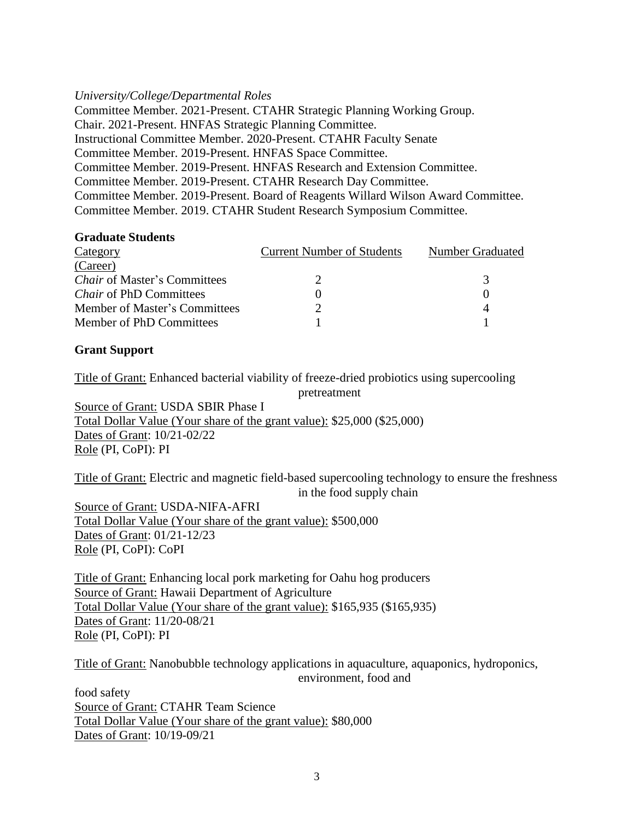#### *University/College/Departmental Roles*

Committee Member. 2021-Present. CTAHR Strategic Planning Working Group. Chair. 2021-Present. HNFAS Strategic Planning Committee. Instructional Committee Member. 2020-Present. CTAHR Faculty Senate Committee Member. 2019-Present. HNFAS Space Committee. Committee Member. 2019-Present. HNFAS Research and Extension Committee. Committee Member. 2019-Present. CTAHR Research Day Committee. Committee Member. 2019-Present. Board of Reagents Willard Wilson Award Committee. Committee Member. 2019. CTAHR Student Research Symposium Committee.

#### **Graduate Students**

| Category                            | <b>Current Number of Students</b> | Number Graduated |
|-------------------------------------|-----------------------------------|------------------|
| (Career)                            |                                   |                  |
| <i>Chair</i> of Master's Committees |                                   |                  |
| <i>Chair</i> of PhD Committees      |                                   |                  |
| Member of Master's Committees       |                                   |                  |
| Member of PhD Committees            |                                   |                  |

#### **Grant Support**

Title of Grant: Enhanced bacterial viability of freeze-dried probiotics using supercooling

pretreatment Source of Grant: USDA SBIR Phase I Total Dollar Value (Your share of the grant value): \$25,000 (\$25,000) Dates of Grant: 10/21-02/22 Role (PI, CoPI): PI

Title of Grant: Electric and magnetic field-based supercooling technology to ensure the freshness in the food supply chain

Source of Grant: USDA-NIFA-AFRI Total Dollar Value (Your share of the grant value): \$500,000 Dates of Grant: 01/21-12/23 Role (PI, CoPI): CoPI

Title of Grant: Enhancing local pork marketing for Oahu hog producers Source of Grant: Hawaii Department of Agriculture Total Dollar Value (Your share of the grant value): \$165,935 (\$165,935) Dates of Grant: 11/20-08/21 Role (PI, CoPI): PI

Title of Grant: Nanobubble technology applications in aquaculture, aquaponics, hydroponics, environment, food and

food safety Source of Grant: CTAHR Team Science Total Dollar Value (Your share of the grant value): \$80,000 Dates of Grant: 10/19-09/21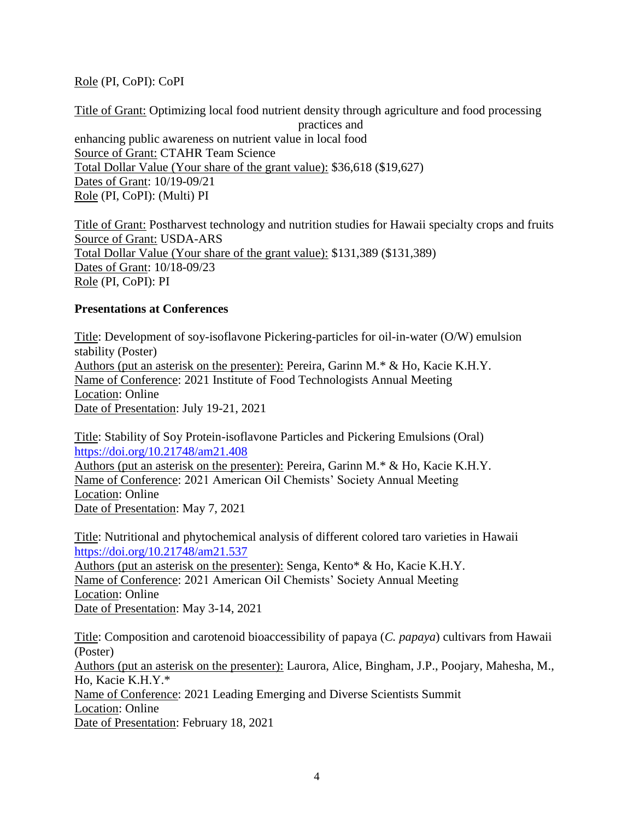## Role (PI, CoPI): CoPI

Title of Grant: Optimizing local food nutrient density through agriculture and food processing practices and enhancing public awareness on nutrient value in local food Source of Grant: CTAHR Team Science Total Dollar Value (Your share of the grant value): \$36,618 (\$19,627) Dates of Grant: 10/19-09/21 Role (PI, CoPI): (Multi) PI

Title of Grant: Postharvest technology and nutrition studies for Hawaii specialty crops and fruits Source of Grant: USDA-ARS Total Dollar Value (Your share of the grant value): \$131,389 (\$131,389) Dates of Grant: 10/18-09/23 Role (PI, CoPI): PI

## **Presentations at Conferences**

Title: Development of soy-isoflavone Pickering-particles for oil-in-water (O/W) emulsion stability (Poster) Authors (put an asterisk on the presenter): Pereira, Garinn M.\* & Ho, Kacie K.H.Y. Name of Conference: 2021 Institute of Food Technologists Annual Meeting Location: Online Date of Presentation: July 19-21, 2021

Title: Stability of Soy Protein-isoflavone Particles and Pickering Emulsions (Oral) <https://doi.org/10.21748/am21.408> Authors (put an asterisk on the presenter): Pereira, Garinn M.\* & Ho, Kacie K.H.Y. Name of Conference: 2021 American Oil Chemists' Society Annual Meeting Location: Online Date of Presentation: May 7, 2021

Title: Nutritional and phytochemical analysis of different colored taro varieties in Hawaii <https://doi.org/10.21748/am21.537>

Authors (put an asterisk on the presenter): Senga, Kento\* & Ho, Kacie K.H.Y. Name of Conference: 2021 American Oil Chemists' Society Annual Meeting Location: Online Date of Presentation: May 3-14, 2021

Title: Composition and carotenoid bioaccessibility of papaya (*C. papaya*) cultivars from Hawaii (Poster) Authors (put an asterisk on the presenter): Laurora, Alice, Bingham, J.P., Poojary, Mahesha, M., Ho, Kacie K.H.Y.\* Name of Conference: 2021 Leading Emerging and Diverse Scientists Summit Location: Online Date of Presentation: February 18, 2021